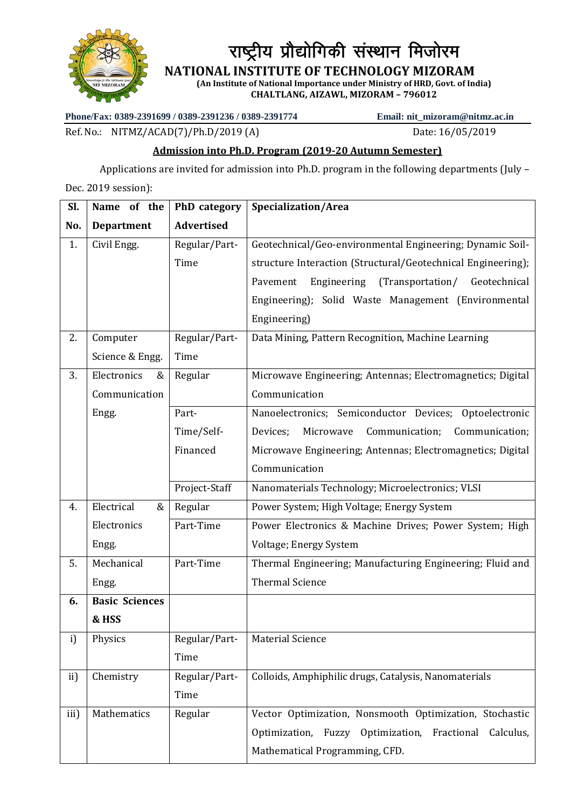

राष्ट्रीय प्रौद्योगिकी संस्थान मिजोरम

 **NATIONAL INSTITUTE OF TECHNOLOGY MIZORAM**

**(An Institute of National Importance under Ministry of HRD, Govt. of India) CHALTLANG, AIZAWL, MIZORAM – 796012**

**Phone/Fax: 0389-2391699 / 0389-2391236 / 0389-2391774 Email: nit\_mizoram@nitmz.ac.in**

Ref. No.: NITMZ/ACAD(7)/Ph.D/2019 (A) Date: 16/05/2019

## **Admission into Ph.D. Program (2019-20 Autumn Semester)**

Applications are invited for admission into Ph.D. program in the following departments (July –

Dec. 2019 session):

| Sl.  | Name of the           | PhD category      | Specialization/Area                                          |
|------|-----------------------|-------------------|--------------------------------------------------------------|
| No.  | <b>Department</b>     | <b>Advertised</b> |                                                              |
| 1.   | Civil Engg.           | Regular/Part-     | Geotechnical/Geo-environmental Engineering; Dynamic Soil-    |
|      |                       | Time              | structure Interaction (Structural/Geotechnical Engineering); |
|      |                       |                   | Engineering<br>(Transportation/<br>Geotechnical<br>Pavement  |
|      |                       |                   | Engineering); Solid Waste Management (Environmental          |
|      |                       |                   | Engineering)                                                 |
| 2.   | Computer              | Regular/Part-     | Data Mining, Pattern Recognition, Machine Learning           |
|      | Science & Engg.       | Time              |                                                              |
| 3.   | Electronics<br>&      | Regular           | Microwave Engineering; Antennas; Electromagnetics; Digital   |
|      | Communication         |                   | Communication                                                |
|      | Engg.                 | Part-             | Nanoelectronics; Semiconductor Devices; Optoelectronic       |
|      |                       | Time/Self-        | Devices;<br>Microwave<br>Communication;<br>Communication;    |
|      |                       | Financed          | Microwave Engineering; Antennas; Electromagnetics; Digital   |
|      |                       |                   | Communication                                                |
|      |                       | Project-Staff     | Nanomaterials Technology; Microelectronics; VLSI             |
| 4.   | Electrical<br>&       | Regular           | Power System; High Voltage; Energy System                    |
|      | Electronics           | Part-Time         | Power Electronics & Machine Drives; Power System; High       |
|      | Engg.                 |                   | Voltage; Energy System                                       |
| 5.   | Mechanical            | Part-Time         | Thermal Engineering; Manufacturing Engineering; Fluid and    |
|      | Engg.                 |                   | <b>Thermal Science</b>                                       |
| 6.   | <b>Basic Sciences</b> |                   |                                                              |
|      | & HSS                 |                   |                                                              |
| i)   | Physics               | Regular/Part-     | <b>Material Science</b>                                      |
|      |                       | Time              |                                                              |
| ii)  | Chemistry             | Regular/Part-     | Colloids, Amphiphilic drugs, Catalysis, Nanomaterials        |
|      |                       | Time              |                                                              |
| iii) | Mathematics           | Regular           | Vector Optimization, Nonsmooth Optimization, Stochastic      |
|      |                       |                   | Optimization, Fuzzy Optimization,<br>Fractional<br>Calculus, |
|      |                       |                   | Mathematical Programming, CFD.                               |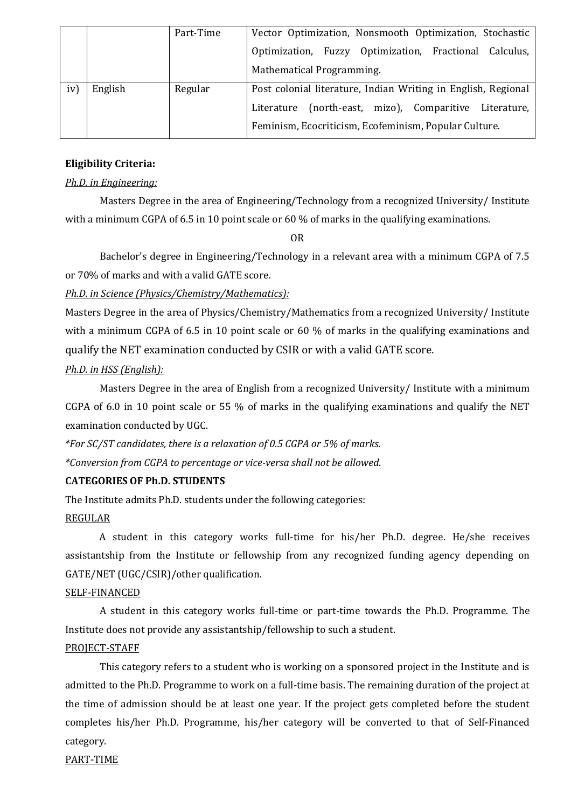|     |         | Part-Time | Vector Optimization, Nonsmooth Optimization, Stochastic       |
|-----|---------|-----------|---------------------------------------------------------------|
|     |         |           | Optimization, Fuzzy Optimization, Fractional Calculus,        |
|     |         |           | Mathematical Programming.                                     |
| iv) | English | Regular   | Post colonial literature, Indian Writing in English, Regional |
|     |         |           | (north-east, mizo), Comparitive Literature,<br>Literature     |
|     |         |           | Feminism, Ecocriticism, Ecofeminism, Popular Culture.         |

#### **Eligibility Criteria:**

#### *Ph.D. in Engineering:*

Masters Degree in the area of Engineering/Technology from a recognized University/ Institute with a minimum CGPA of 6.5 in 10 point scale or 60 % of marks in the qualifying examinations.

OR

Bachelor's degree in Engineering/Technology in a relevant area with a minimum CGPA of 7.5 or 70% of marks and with a valid GATE score.

*Ph.D. in Science (Physics/Chemistry/Mathematics):*

Masters Degree in the area of Physics/Chemistry/Mathematics from a recognized University/ Institute with a minimum CGPA of 6.5 in 10 point scale or 60 % of marks in the qualifying examinations and qualify the NET examination conducted by CSIR or with a valid GATE score.

#### *Ph.D. in HSS (English):*

Masters Degree in the area of English from a recognized University/ Institute with a minimum CGPA of 6.0 in 10 point scale or 55 % of marks in the qualifying examinations and qualify the NET examination conducted by UGC.

*\*For SC/ST candidates, there is a relaxation of 0.5 CGPA or 5% of marks. \*Conversion from CGPA to percentage or vice-versa shall not be allowed.*

#### **CATEGORIES OF Ph.D. STUDENTS**

The Institute admits Ph.D. students under the following categories:

### REGULAR

A student in this category works full-time for his/her Ph.D. degree. He/she receives assistantship from the Institute or fellowship from any recognized funding agency depending on GATE/NET (UGC/CSIR)/other qualification.

#### SELF-FINANCED

A student in this category works full-time or part-time towards the Ph.D. Programme. The Institute does not provide any assistantship/fellowship to such a student.

#### PROJECT-STAFF

This category refers to a student who is working on a sponsored project in the Institute and is admitted to the Ph.D. Programme to work on a full-time basis. The remaining duration of the project at the time of admission should be at least one year. If the project gets completed before the student completes his/her Ph.D. Programme, his/her category will be converted to that of Self-Financed category.

PART-TIME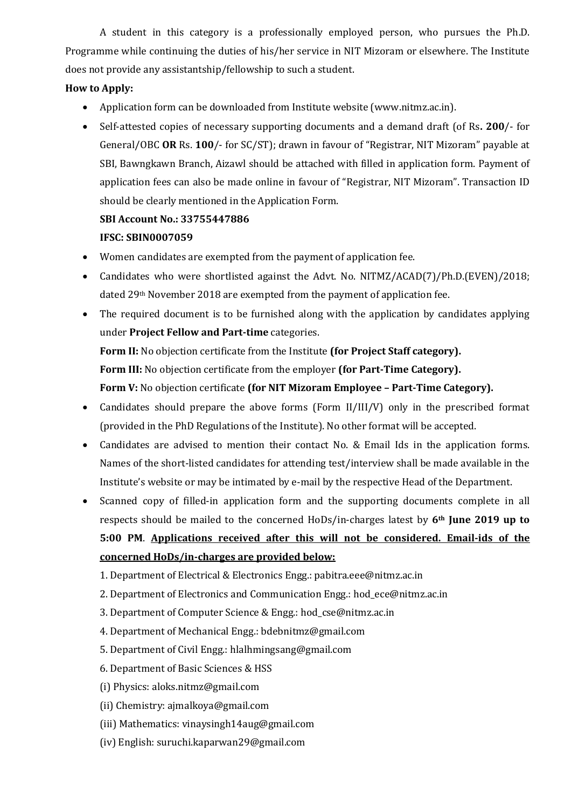A student in this category is a professionally employed person, who pursues the Ph.D. Programme while continuing the duties of his/her service in NIT Mizoram or elsewhere. The Institute does not provide any assistantship/fellowship to such a student.

# **How to Apply:**

- Application form can be downloaded from Institute website (www.nitmz.ac.in).
- Self-attested copies of necessary supporting documents and a demand draft (of Rs**. 200**/- for General/OBC **OR** Rs. **100**/- for SC/ST); drawn in favour of "Registrar, NIT Mizoram" payable at SBI, Bawngkawn Branch, Aizawl should be attached with filled in application form. Payment of application fees can also be made online in favour of "Registrar, NIT Mizoram". Transaction ID should be clearly mentioned in the Application Form.

# **SBI Account No.: 33755447886 IFSC: SBIN0007059**

- Women candidates are exempted from the payment of application fee.
- Candidates who were shortlisted against the Advt. No. NITMZ/ACAD(7)/Ph.D.(EVEN)/2018; dated 29th November 2018 are exempted from the payment of application fee.
- The required document is to be furnished along with the application by candidates applying under **Project Fellow and Part-time** categories.

**Form II:** No objection certificate from the Institute **(for Project Staff category). Form III:** No objection certificate from the employer **(for Part-Time Category).**

**Form V:** No objection certificate **(for NIT Mizoram Employee – Part-Time Category).**

- Candidates should prepare the above forms (Form II/III/V) only in the prescribed format (provided in the PhD Regulations of the Institute). No other format will be accepted.
- Candidates are advised to mention their contact No. & Email Ids in the application forms. Names of the short-listed candidates for attending test/interview shall be made available in the Institute's website or may be intimated by e-mail by the respective Head of the Department.
- Scanned copy of filled-in application form and the supporting documents complete in all respects should be mailed to the concerned HoDs/in-charges latest by **6th June 2019 up to 5:00 PM**. **Applications received after this will not be considered. Email-ids of the concerned HoDs/in-charges are provided below:**
	- 1. Department of Electrical & Electronics Engg.: pabitra.eee@nitmz.ac.in
	- 2. Department of Electronics and Communication Engg.: hod\_ece@nitmz.ac.in
	- 3. Department of Computer Science & Engg.: hod\_cse@nitmz.ac.in
	- 4. Department of Mechanical Engg.: bdebnitmz@gmail.com
	- 5. Department of Civil Engg.: hlalhmingsang@gmail.com
	- 6. Department of Basic Sciences & HSS
	- (i) Physics: aloks.nitmz@gmail.com
	- (ii) Chemistry: ajmalkoya@gmail.com
	- (iii) Mathematics: vinaysingh14aug@gmail.com
	- (iv) English: suruchi.kaparwan29@gmail.com